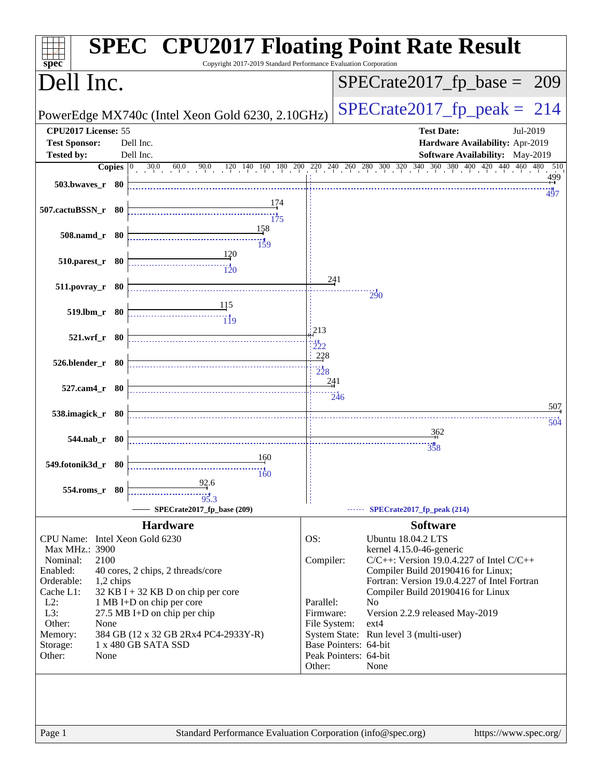| $spec^*$                       |           | <b>SPEC<sup>®</sup> CPU2017 Floating Point Rate Result</b><br>Copyright 2017-2019 Standard Performance Evaluation Corporation |                                 |                  |                                                                                                                                                                                  |     |
|--------------------------------|-----------|-------------------------------------------------------------------------------------------------------------------------------|---------------------------------|------------------|----------------------------------------------------------------------------------------------------------------------------------------------------------------------------------|-----|
| Dell Inc.                      |           |                                                                                                                               |                                 |                  | $SPECrate2017fp base =$<br><b>209</b>                                                                                                                                            |     |
|                                |           | PowerEdge MX740c (Intel Xeon Gold 6230, 2.10GHz)                                                                              |                                 |                  | $SPECTate2017$ _fp_peak = 214                                                                                                                                                    |     |
| CPU2017 License: 55            |           |                                                                                                                               |                                 |                  | <b>Test Date:</b><br>Jul-2019                                                                                                                                                    |     |
| <b>Test Sponsor:</b>           |           | Dell Inc.                                                                                                                     |                                 |                  | Hardware Availability: Apr-2019                                                                                                                                                  |     |
| <b>Tested by:</b>              |           | Dell Inc.                                                                                                                     |                                 |                  | Software Availability: May-2019                                                                                                                                                  |     |
|                                |           |                                                                                                                               |                                 |                  | <b>Copies</b> $\begin{bmatrix} 0 & 30.0 & 60.0 & 90.0 & 120 & 140 & 160 & 180 & 200 & 240 & 240 & 260 & 300 & 320 & 340 & 360 & 380 & 400 & 420 & 440 & 460 & 480 \end{bmatrix}$ | 510 |
| 503.bwaves_r 80                |           |                                                                                                                               |                                 |                  | 497                                                                                                                                                                              | 499 |
| 507.cactuBSSN_r 80             |           | 174<br>$\frac{14}{175}$                                                                                                       |                                 |                  |                                                                                                                                                                                  |     |
| 508.namd r 80                  |           | 158<br>$\frac{11}{159}$                                                                                                       |                                 |                  |                                                                                                                                                                                  |     |
| $510.parest_r$ 80              |           | 120<br>$\overline{120}$                                                                                                       | 241                             |                  |                                                                                                                                                                                  |     |
| $511. povray_r 80$             |           | 115                                                                                                                           |                                 |                  | 290                                                                                                                                                                              |     |
| 519.lbm_r 80                   |           | $\frac{1}{119}$                                                                                                               |                                 |                  |                                                                                                                                                                                  |     |
| 521.wrf_r 80                   |           |                                                                                                                               | 213<br>222                      |                  |                                                                                                                                                                                  |     |
| 526.blender_r 80               |           |                                                                                                                               | 228<br>$\frac{1}{228}$<br>241   |                  |                                                                                                                                                                                  |     |
| 527.cam4_r 80                  |           |                                                                                                                               |                                 | $\frac{11}{246}$ |                                                                                                                                                                                  | 507 |
| 538.imagick_r 80               |           |                                                                                                                               |                                 |                  |                                                                                                                                                                                  | 504 |
| 544.nab_r 80                   |           |                                                                                                                               |                                 |                  | 362<br>358                                                                                                                                                                       |     |
|                                |           | 160                                                                                                                           |                                 |                  |                                                                                                                                                                                  |     |
| 549.fotonik3d_r 80             |           | 160                                                                                                                           |                                 |                  |                                                                                                                                                                                  |     |
| 554.roms_r 80                  |           | 92.6<br>95.3                                                                                                                  |                                 |                  |                                                                                                                                                                                  |     |
|                                |           | SPECrate2017_fp_base (209)                                                                                                    |                                 |                  | SPECrate2017_fp_peak (214)                                                                                                                                                       |     |
|                                |           | <b>Hardware</b>                                                                                                               |                                 |                  | <b>Software</b>                                                                                                                                                                  |     |
| CPU Name: Intel Xeon Gold 6230 |           |                                                                                                                               | OS:                             |                  | Ubuntu 18.04.2 LTS                                                                                                                                                               |     |
| Max MHz.: 3900                 |           |                                                                                                                               |                                 |                  | kernel 4.15.0-46-generic                                                                                                                                                         |     |
| Nominal:                       | 2100      |                                                                                                                               | Compiler:                       |                  | $C/C++$ : Version 19.0.4.227 of Intel $C/C++$                                                                                                                                    |     |
| Enabled:                       |           | 40 cores, 2 chips, 2 threads/core                                                                                             |                                 |                  | Compiler Build 20190416 for Linux;                                                                                                                                               |     |
| Orderable:                     | 1,2 chips |                                                                                                                               |                                 |                  | Fortran: Version 19.0.4.227 of Intel Fortran                                                                                                                                     |     |
| Cache L1:                      |           | $32$ KB I + 32 KB D on chip per core                                                                                          |                                 |                  | Compiler Build 20190416 for Linux                                                                                                                                                |     |
| $L2$ :<br>L3:                  |           | 1 MB I+D on chip per core<br>$27.5$ MB I+D on chip per chip                                                                   | Parallel:<br>Firmware:          |                  | N <sub>o</sub><br>Version 2.2.9 released May-2019                                                                                                                                |     |
| Other:                         | None      |                                                                                                                               | File System:                    |                  | $ext{4}$                                                                                                                                                                         |     |
| Memory:                        |           | 384 GB (12 x 32 GB 2Rx4 PC4-2933Y-R)                                                                                          |                                 |                  | System State: Run level 3 (multi-user)                                                                                                                                           |     |
| Storage:                       |           | 1 x 480 GB SATA SSD                                                                                                           | Base Pointers: 64-bit           |                  |                                                                                                                                                                                  |     |
| Other:                         | None      |                                                                                                                               | Peak Pointers: 64-bit<br>Other: |                  | None                                                                                                                                                                             |     |
|                                |           |                                                                                                                               |                                 |                  |                                                                                                                                                                                  |     |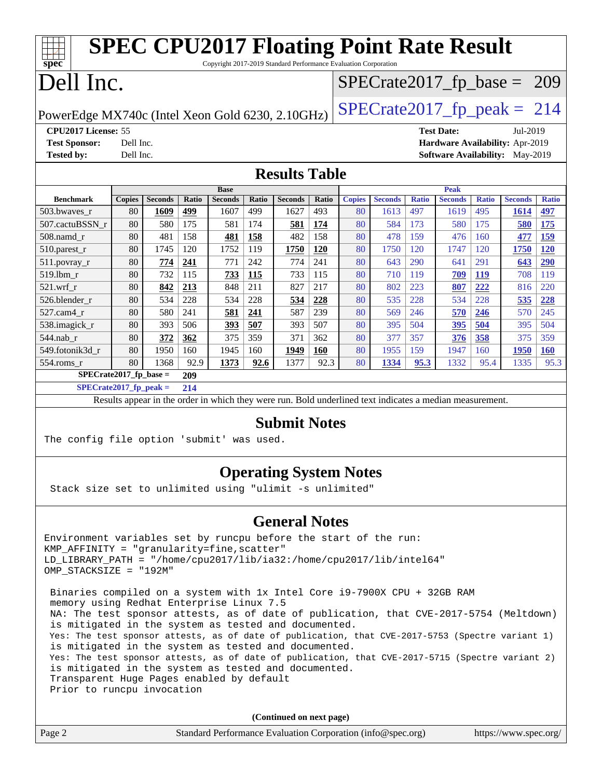| <b>SPEC CPU2017 Floating Point Rate Result</b><br>Copyright 2017-2019 Standard Performance Evaluation Corporation<br>spec <sup>®</sup>                                                                                                                                                                                                                                                                                                                                                                                                                                                                                                                                    |                                                  |                |       |                                                                                                          |              |                               |            |               |                |              |                               |              |                                        |              |
|---------------------------------------------------------------------------------------------------------------------------------------------------------------------------------------------------------------------------------------------------------------------------------------------------------------------------------------------------------------------------------------------------------------------------------------------------------------------------------------------------------------------------------------------------------------------------------------------------------------------------------------------------------------------------|--------------------------------------------------|----------------|-------|----------------------------------------------------------------------------------------------------------|--------------|-------------------------------|------------|---------------|----------------|--------------|-------------------------------|--------------|----------------------------------------|--------------|
| Dell Inc.                                                                                                                                                                                                                                                                                                                                                                                                                                                                                                                                                                                                                                                                 |                                                  |                |       |                                                                                                          |              | $SPECTate2017_fp\_base = 209$ |            |               |                |              |                               |              |                                        |              |
|                                                                                                                                                                                                                                                                                                                                                                                                                                                                                                                                                                                                                                                                           | PowerEdge MX740c (Intel Xeon Gold 6230, 2.10GHz) |                |       |                                                                                                          |              |                               |            |               |                |              | $SPECTate2017$ _fp_peak = 214 |              |                                        |              |
| CPU2017 License: 55                                                                                                                                                                                                                                                                                                                                                                                                                                                                                                                                                                                                                                                       |                                                  |                |       |                                                                                                          |              |                               |            |               |                |              | <b>Test Date:</b>             |              | Jul-2019                               |              |
| <b>Test Sponsor:</b>                                                                                                                                                                                                                                                                                                                                                                                                                                                                                                                                                                                                                                                      | Dell Inc.                                        |                |       |                                                                                                          |              |                               |            |               |                |              |                               |              | Hardware Availability: Apr-2019        |              |
| <b>Tested by:</b>                                                                                                                                                                                                                                                                                                                                                                                                                                                                                                                                                                                                                                                         | Dell Inc.                                        |                |       |                                                                                                          |              |                               |            |               |                |              |                               |              | <b>Software Availability:</b> May-2019 |              |
|                                                                                                                                                                                                                                                                                                                                                                                                                                                                                                                                                                                                                                                                           | <b>Results Table</b>                             |                |       |                                                                                                          |              |                               |            |               |                |              |                               |              |                                        |              |
| <b>Benchmark</b>                                                                                                                                                                                                                                                                                                                                                                                                                                                                                                                                                                                                                                                          | <b>Copies</b>                                    | <b>Seconds</b> | Ratio | <b>Base</b><br><b>Seconds</b>                                                                            | <b>Ratio</b> | <b>Seconds</b>                | Ratio      | <b>Copies</b> | <b>Seconds</b> | <b>Ratio</b> | <b>Peak</b><br><b>Seconds</b> | <b>Ratio</b> | <b>Seconds</b>                         | <b>Ratio</b> |
| 503.bwaves_r                                                                                                                                                                                                                                                                                                                                                                                                                                                                                                                                                                                                                                                              | 80                                               | <b>1609</b>    | 499   | 1607                                                                                                     | 499          | 1627                          | 493        | 80            | 1613           | 497          | 1619                          | 495          | <b>1614</b>                            | 497          |
| 507.cactuBSSN_r                                                                                                                                                                                                                                                                                                                                                                                                                                                                                                                                                                                                                                                           | 80                                               | 580            | 175   | 581                                                                                                      | 174          | 581                           | 174        | 80            | 584            | 173          | 580                           | 175          | 580                                    | <b>175</b>   |
| 508.namd r                                                                                                                                                                                                                                                                                                                                                                                                                                                                                                                                                                                                                                                                | 80                                               | 481            | 158   | 481                                                                                                      | 158          | 482                           | 158        | 80            | 478            | 159          | 476                           | 160          | 477                                    | 159          |
| 510.parest_r                                                                                                                                                                                                                                                                                                                                                                                                                                                                                                                                                                                                                                                              | 80                                               | 1745           | 120   | 1752                                                                                                     | 119          | 1750                          | 120        | 80            | 1750           | 120          | 1747                          | 120          | 1750                                   | 120          |
| $511.povray_r$                                                                                                                                                                                                                                                                                                                                                                                                                                                                                                                                                                                                                                                            | 80                                               | 774            | 241   | 771                                                                                                      | 242          | 774                           | 241        | 80            | 643            | 290          | 641                           | 291          | 643                                    | 290          |
| 519.lbm_r                                                                                                                                                                                                                                                                                                                                                                                                                                                                                                                                                                                                                                                                 | 80                                               | 732            | 115   | 733                                                                                                      | 115          | 733                           | 115        | 80            | 710            | 119          | 709                           | <b>119</b>   | 708                                    | 119          |
| $521.wrf_r$                                                                                                                                                                                                                                                                                                                                                                                                                                                                                                                                                                                                                                                               | 80                                               | 842            | 213   | 848                                                                                                      | 211          | 827                           | 217        | 80            | 802            | 223          | 807                           | 222          | 816                                    | 220          |
| 526.blender_r                                                                                                                                                                                                                                                                                                                                                                                                                                                                                                                                                                                                                                                             | 80                                               | 534            | 228   | 534                                                                                                      | 228          | 534                           | 228        | 80            | 535            | 228          | 534                           | 228          | 535                                    | 228          |
| 527.cam4_r                                                                                                                                                                                                                                                                                                                                                                                                                                                                                                                                                                                                                                                                | 80                                               | 580            | 241   | 581                                                                                                      | 241          | 587                           | 239        | 80            | 569            | 246          | 570                           | 246          | 570                                    | 245          |
| 538.imagick_r                                                                                                                                                                                                                                                                                                                                                                                                                                                                                                                                                                                                                                                             | 80                                               | 393            | 506   | 393                                                                                                      | 507          | 393                           | 507        | 80            | 395            | 504          | 395                           | 504          | 395                                    | 504          |
| 544.nab_r                                                                                                                                                                                                                                                                                                                                                                                                                                                                                                                                                                                                                                                                 | 80                                               | 372            | 362   | 375                                                                                                      | 359          | 371                           | 362        | 80            | 377            | 357          | 376                           | 358          | 375                                    | 359          |
| 549.fotonik3d_r                                                                                                                                                                                                                                                                                                                                                                                                                                                                                                                                                                                                                                                           | 80                                               | 1950           | 160   | 1945                                                                                                     | 160          | 1949                          | <b>160</b> | 80            | 1955           | 159          | 1947                          | 160          | <b>1950</b>                            | <b>160</b>   |
| 554.roms_r                                                                                                                                                                                                                                                                                                                                                                                                                                                                                                                                                                                                                                                                | 80                                               | 1368           | 92.9  | 1373                                                                                                     | 92.6         | 1377                          | 92.3       | 80            | 1334           | 95.3         | 1332                          | 95.4         | 1335                                   | 95.3         |
| $SPECrate2017_fp\_base =$                                                                                                                                                                                                                                                                                                                                                                                                                                                                                                                                                                                                                                                 |                                                  |                | 209   |                                                                                                          |              |                               |            |               |                |              |                               |              |                                        |              |
| $SPECrate2017_fp\_peak =$                                                                                                                                                                                                                                                                                                                                                                                                                                                                                                                                                                                                                                                 |                                                  |                | 214   |                                                                                                          |              |                               |            |               |                |              |                               |              |                                        |              |
|                                                                                                                                                                                                                                                                                                                                                                                                                                                                                                                                                                                                                                                                           |                                                  |                |       | Results appear in the order in which they were run. Bold underlined text indicates a median measurement. |              |                               |            |               |                |              |                               |              |                                        |              |
| The config file option 'submit' was used.                                                                                                                                                                                                                                                                                                                                                                                                                                                                                                                                                                                                                                 |                                                  |                |       |                                                                                                          |              | <b>Submit Notes</b>           |            |               |                |              |                               |              |                                        |              |
| Stack size set to unlimited using "ulimit -s unlimited"                                                                                                                                                                                                                                                                                                                                                                                                                                                                                                                                                                                                                   |                                                  |                |       |                                                                                                          |              | <b>Operating System Notes</b> |            |               |                |              |                               |              |                                        |              |
|                                                                                                                                                                                                                                                                                                                                                                                                                                                                                                                                                                                                                                                                           |                                                  |                |       |                                                                                                          |              | <b>General Notes</b>          |            |               |                |              |                               |              |                                        |              |
| Environment variables set by runcpu before the start of the run:<br>KMP_AFFINITY = "granularity=fine, scatter"<br>LD_LIBRARY_PATH = "/home/cpu2017/lib/ia32:/home/cpu2017/lib/intel64"<br>OMP_STACKSIZE = "192M"                                                                                                                                                                                                                                                                                                                                                                                                                                                          |                                                  |                |       |                                                                                                          |              |                               |            |               |                |              |                               |              |                                        |              |
| Binaries compiled on a system with 1x Intel Core i9-7900X CPU + 32GB RAM<br>memory using Redhat Enterprise Linux 7.5<br>NA: The test sponsor attests, as of date of publication, that CVE-2017-5754 (Meltdown)<br>is mitigated in the system as tested and documented.<br>Yes: The test sponsor attests, as of date of publication, that CVE-2017-5753 (Spectre variant 1)<br>is mitigated in the system as tested and documented.<br>Yes: The test sponsor attests, as of date of publication, that CVE-2017-5715 (Spectre variant 2)<br>is mitigated in the system as tested and documented.<br>Transparent Huge Pages enabled by default<br>Prior to runcpu invocation |                                                  |                |       |                                                                                                          |              |                               |            |               |                |              |                               |              |                                        |              |
| (Continued on next page)                                                                                                                                                                                                                                                                                                                                                                                                                                                                                                                                                                                                                                                  |                                                  |                |       |                                                                                                          |              |                               |            |               |                |              |                               |              |                                        |              |
| Page 2                                                                                                                                                                                                                                                                                                                                                                                                                                                                                                                                                                                                                                                                    |                                                  |                |       | Standard Performance Evaluation Corporation (info@spec.org)                                              |              |                               |            |               |                |              |                               |              | https://www.spec.org/                  |              |
|                                                                                                                                                                                                                                                                                                                                                                                                                                                                                                                                                                                                                                                                           |                                                  |                |       |                                                                                                          |              |                               |            |               |                |              |                               |              |                                        |              |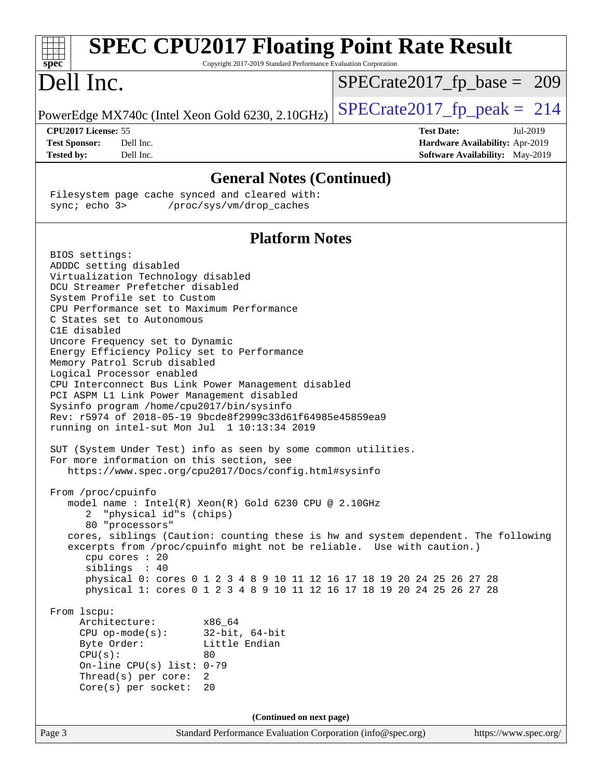| <b>SPEC CPU2017 Floating Point Rate Result</b><br>Copyright 2017-2019 Standard Performance Evaluation Corporation<br>$spec^*$                                                                                                                                                                                                                                                                                                                                                                                                                                                                                                                                                                                                                                                                                                                                                                                                                                                                                                                                                                                                                                                                                                                                                                                                                                                                                                                                                                                                                               |                                                                                                     |
|-------------------------------------------------------------------------------------------------------------------------------------------------------------------------------------------------------------------------------------------------------------------------------------------------------------------------------------------------------------------------------------------------------------------------------------------------------------------------------------------------------------------------------------------------------------------------------------------------------------------------------------------------------------------------------------------------------------------------------------------------------------------------------------------------------------------------------------------------------------------------------------------------------------------------------------------------------------------------------------------------------------------------------------------------------------------------------------------------------------------------------------------------------------------------------------------------------------------------------------------------------------------------------------------------------------------------------------------------------------------------------------------------------------------------------------------------------------------------------------------------------------------------------------------------------------|-----------------------------------------------------------------------------------------------------|
| Dell Inc.                                                                                                                                                                                                                                                                                                                                                                                                                                                                                                                                                                                                                                                                                                                                                                                                                                                                                                                                                                                                                                                                                                                                                                                                                                                                                                                                                                                                                                                                                                                                                   | $SPECrate2017_fp\_base = 209$                                                                       |
| PowerEdge MX740c (Intel Xeon Gold 6230, 2.10GHz)                                                                                                                                                                                                                                                                                                                                                                                                                                                                                                                                                                                                                                                                                                                                                                                                                                                                                                                                                                                                                                                                                                                                                                                                                                                                                                                                                                                                                                                                                                            | $SPECrate2017_fp\_peak = 214$                                                                       |
| CPU2017 License: 55<br>Dell Inc.<br><b>Test Sponsor:</b><br>Dell Inc.<br><b>Tested by:</b>                                                                                                                                                                                                                                                                                                                                                                                                                                                                                                                                                                                                                                                                                                                                                                                                                                                                                                                                                                                                                                                                                                                                                                                                                                                                                                                                                                                                                                                                  | <b>Test Date:</b><br>Jul-2019<br>Hardware Availability: Apr-2019<br>Software Availability: May-2019 |
| <b>General Notes (Continued)</b>                                                                                                                                                                                                                                                                                                                                                                                                                                                                                                                                                                                                                                                                                                                                                                                                                                                                                                                                                                                                                                                                                                                                                                                                                                                                                                                                                                                                                                                                                                                            |                                                                                                     |
| Filesystem page cache synced and cleared with:<br>sync; echo 3><br>/proc/sys/vm/drop_caches                                                                                                                                                                                                                                                                                                                                                                                                                                                                                                                                                                                                                                                                                                                                                                                                                                                                                                                                                                                                                                                                                                                                                                                                                                                                                                                                                                                                                                                                 |                                                                                                     |
| <b>Platform Notes</b>                                                                                                                                                                                                                                                                                                                                                                                                                                                                                                                                                                                                                                                                                                                                                                                                                                                                                                                                                                                                                                                                                                                                                                                                                                                                                                                                                                                                                                                                                                                                       |                                                                                                     |
| BIOS settings:<br>ADDDC setting disabled<br>Virtualization Technology disabled<br>DCU Streamer Prefetcher disabled<br>System Profile set to Custom<br>CPU Performance set to Maximum Performance<br>C States set to Autonomous<br>C1E disabled<br>Uncore Frequency set to Dynamic<br>Energy Efficiency Policy set to Performance<br>Memory Patrol Scrub disabled<br>Logical Processor enabled<br>CPU Interconnect Bus Link Power Management disabled<br>PCI ASPM L1 Link Power Management disabled<br>Sysinfo program /home/cpu2017/bin/sysinfo<br>Rev: r5974 of 2018-05-19 9bcde8f2999c33d61f64985e45859ea9<br>running on intel-sut Mon Jul 1 10:13:34 2019<br>SUT (System Under Test) info as seen by some common utilities.<br>For more information on this section, see<br>https://www.spec.org/cpu2017/Docs/config.html#sysinfo<br>From /proc/cpuinfo<br>model name : Intel(R) Xeon(R) Gold 6230 CPU @ 2.10GHz<br>"physical id"s (chips)<br>2<br>80 "processors"<br>cores, siblings (Caution: counting these is hw and system dependent. The following<br>excerpts from /proc/cpuinfo might not be reliable. Use with caution.)<br>cpu cores : 20<br>siblings : 40<br>physical 0: cores 0 1 2 3 4 8 9 10 11 12 16 17 18 19 20 24 25 26 27 28<br>physical 1: cores 0 1 2 3 4 8 9 10 11 12 16 17 18 19 20 24 25 26 27 28<br>From 1scpu:<br>Architecture:<br>x86_64<br>32-bit, 64-bit<br>$CPU$ op-mode( $s$ ):<br>Byte Order:<br>Little Endian<br>CPU(s):<br>80<br>On-line CPU(s) list: $0-79$<br>Thread(s) per core:<br>2<br>$Core(s)$ per socket:<br>20 |                                                                                                     |
| (Continued on next page)                                                                                                                                                                                                                                                                                                                                                                                                                                                                                                                                                                                                                                                                                                                                                                                                                                                                                                                                                                                                                                                                                                                                                                                                                                                                                                                                                                                                                                                                                                                                    |                                                                                                     |
| Page 3<br>Standard Performance Evaluation Corporation (info@spec.org)                                                                                                                                                                                                                                                                                                                                                                                                                                                                                                                                                                                                                                                                                                                                                                                                                                                                                                                                                                                                                                                                                                                                                                                                                                                                                                                                                                                                                                                                                       | https://www.spec.org/                                                                               |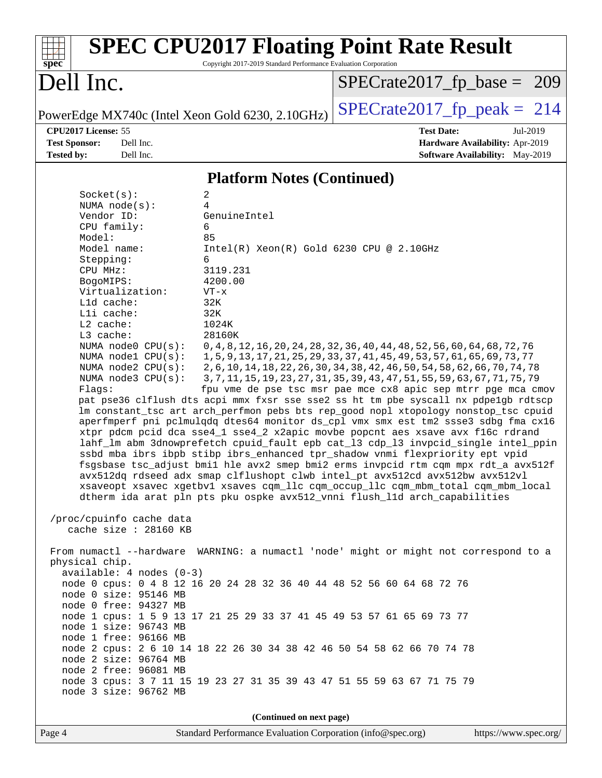| $spec^*$                                                                                                                                                                                                                                                                                                                                                                                                                                                                                                                                                                | Copyright 2017-2019 Standard Performance Evaluation Corporation                                                                                                                                                                                                                                                                                                                                                                                              | <b>SPEC CPU2017 Floating Point Rate Result</b>                                                                                                                                                                                                                                                                                                                                                                                                                                                                                                                                                                                                                                                                                                                                                                                                                                                                                                                                                                                                                                                                                                                                                                                                                                                                                                        |
|-------------------------------------------------------------------------------------------------------------------------------------------------------------------------------------------------------------------------------------------------------------------------------------------------------------------------------------------------------------------------------------------------------------------------------------------------------------------------------------------------------------------------------------------------------------------------|--------------------------------------------------------------------------------------------------------------------------------------------------------------------------------------------------------------------------------------------------------------------------------------------------------------------------------------------------------------------------------------------------------------------------------------------------------------|-------------------------------------------------------------------------------------------------------------------------------------------------------------------------------------------------------------------------------------------------------------------------------------------------------------------------------------------------------------------------------------------------------------------------------------------------------------------------------------------------------------------------------------------------------------------------------------------------------------------------------------------------------------------------------------------------------------------------------------------------------------------------------------------------------------------------------------------------------------------------------------------------------------------------------------------------------------------------------------------------------------------------------------------------------------------------------------------------------------------------------------------------------------------------------------------------------------------------------------------------------------------------------------------------------------------------------------------------------|
| Dell Inc.                                                                                                                                                                                                                                                                                                                                                                                                                                                                                                                                                               |                                                                                                                                                                                                                                                                                                                                                                                                                                                              | $SPECrate2017_fp\_base = 209$                                                                                                                                                                                                                                                                                                                                                                                                                                                                                                                                                                                                                                                                                                                                                                                                                                                                                                                                                                                                                                                                                                                                                                                                                                                                                                                         |
|                                                                                                                                                                                                                                                                                                                                                                                                                                                                                                                                                                         | PowerEdge MX740c (Intel Xeon Gold 6230, 2.10GHz)                                                                                                                                                                                                                                                                                                                                                                                                             | $SPECrate2017_fp\_peak = 214$                                                                                                                                                                                                                                                                                                                                                                                                                                                                                                                                                                                                                                                                                                                                                                                                                                                                                                                                                                                                                                                                                                                                                                                                                                                                                                                         |
| CPU2017 License: 55<br><b>Test Sponsor:</b><br>Dell Inc.<br><b>Tested by:</b><br>Dell Inc.                                                                                                                                                                                                                                                                                                                                                                                                                                                                              |                                                                                                                                                                                                                                                                                                                                                                                                                                                              | <b>Test Date:</b><br>Jul-2019<br>Hardware Availability: Apr-2019<br><b>Software Availability:</b> May-2019                                                                                                                                                                                                                                                                                                                                                                                                                                                                                                                                                                                                                                                                                                                                                                                                                                                                                                                                                                                                                                                                                                                                                                                                                                            |
|                                                                                                                                                                                                                                                                                                                                                                                                                                                                                                                                                                         | <b>Platform Notes (Continued)</b>                                                                                                                                                                                                                                                                                                                                                                                                                            |                                                                                                                                                                                                                                                                                                                                                                                                                                                                                                                                                                                                                                                                                                                                                                                                                                                                                                                                                                                                                                                                                                                                                                                                                                                                                                                                                       |
| Socket(s):<br>NUMA $node(s):$<br>Vendor ID:<br>CPU family:<br>Model:<br>Model name:<br>Stepping:<br>CPU MHz:<br>BogoMIPS:<br>Virtualization:<br>Lld cache:<br>Lli cache:<br>L2 cache:<br>L3 cache:<br>NUMA node0 CPU(s):<br>NUMA $node1$ $CPU(s):$<br>NUMA node2 CPU(s):<br>NUMA $node3$ $CPU(s):$<br>Flags:<br>/proc/cpuinfo cache data<br>cache size : 28160 KB<br>physical chip.<br>$available: 4 nodes (0-3)$<br>node 0 size: 95146 MB<br>node 0 free: 94327 MB<br>node 1 size: 96743 MB<br>node 1 free: 96166 MB<br>node 2 size: 96764 MB<br>node 2 free: 96081 MB | 2<br>4<br>GenuineIntel<br>6<br>85<br>Intel(R) Xeon(R) Gold 6230 CPU @ 2.10GHz<br>6<br>3119.231<br>4200.00<br>$VT - x$<br>32K<br>32K<br>1024K<br>28160K<br>node 0 cpus: 0 4 8 12 16 20 24 28 32 36 40 44 48 52 56 60 64 68 72 76<br>node 1 cpus: 1 5 9 13 17 21 25 29 33 37 41 45 49 53 57 61 65 69 73 77<br>node 2 cpus: 2 6 10 14 18 22 26 30 34 38 42 46 50 54 58 62 66 70 74 78<br>node 3 cpus: 3 7 11 15 19 23 27 31 35 39 43 47 51 55 59 63 67 71 75 79 | 0, 4, 8, 12, 16, 20, 24, 28, 32, 36, 40, 44, 48, 52, 56, 60, 64, 68, 72, 76<br>1, 5, 9, 13, 17, 21, 25, 29, 33, 37, 41, 45, 49, 53, 57, 61, 65, 69, 73, 77<br>2, 6, 10, 14, 18, 22, 26, 30, 34, 38, 42, 46, 50, 54, 58, 62, 66, 70, 74, 78<br>3, 7, 11, 15, 19, 23, 27, 31, 35, 39, 43, 47, 51, 55, 59, 63, 67, 71, 75, 79<br>fpu vme de pse tsc msr pae mce cx8 apic sep mtrr pge mca cmov<br>pat pse36 clflush dts acpi mmx fxsr sse sse2 ss ht tm pbe syscall nx pdpelgb rdtscp<br>lm constant_tsc art arch_perfmon pebs bts rep_good nopl xtopology nonstop_tsc cpuid<br>aperfmperf pni pclmulqdq dtes64 monitor ds_cpl vmx smx est tm2 ssse3 sdbg fma cx16<br>xtpr pdcm pcid dca sse4_1 sse4_2 x2apic movbe popcnt aes xsave avx f16c rdrand<br>lahf_lm abm 3dnowprefetch cpuid_fault epb cat_13 cdp_13 invpcid_single intel_ppin<br>ssbd mba ibrs ibpb stibp ibrs_enhanced tpr_shadow vnmi flexpriority ept vpid<br>fsgsbase tsc_adjust bmil hle avx2 smep bmi2 erms invpcid rtm cqm mpx rdt_a avx512f<br>avx512dq rdseed adx smap clflushopt clwb intel_pt avx512cd avx512bw avx512vl<br>xsaveopt xsavec xgetbvl xsaves cqm_llc cqm_occup_llc cqm_mbm_total cqm_mbm_local<br>dtherm ida arat pln pts pku ospke avx512_vnni flush_lld arch_capabilities<br>From numactl --hardware WARNING: a numactl 'node' might or might not correspond to a |
| node 3 size: 96762 MB                                                                                                                                                                                                                                                                                                                                                                                                                                                                                                                                                   |                                                                                                                                                                                                                                                                                                                                                                                                                                                              |                                                                                                                                                                                                                                                                                                                                                                                                                                                                                                                                                                                                                                                                                                                                                                                                                                                                                                                                                                                                                                                                                                                                                                                                                                                                                                                                                       |
|                                                                                                                                                                                                                                                                                                                                                                                                                                                                                                                                                                         | (Continued on next page)                                                                                                                                                                                                                                                                                                                                                                                                                                     |                                                                                                                                                                                                                                                                                                                                                                                                                                                                                                                                                                                                                                                                                                                                                                                                                                                                                                                                                                                                                                                                                                                                                                                                                                                                                                                                                       |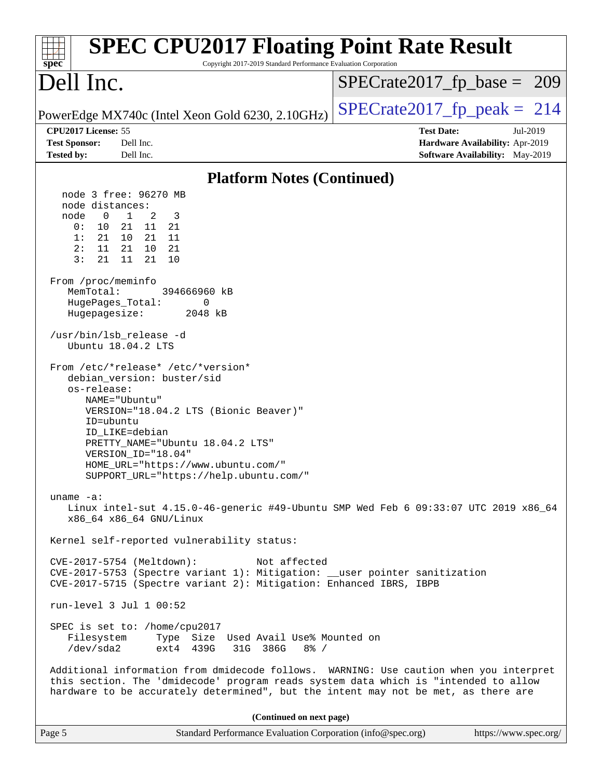| <b>SPEC CPU2017 Floating Point Rate Result</b><br>Copyright 2017-2019 Standard Performance Evaluation Corporation<br>spec <sup>®</sup>                                                                                                                                                                                                                                                                                                                                                                                                                                                                                                                                                                                                                                                                                                                                                                                                                                                                                                                                                                                                                                                                                                                                                                                                                                                                                                                                                                                    |                                                                                                            |
|---------------------------------------------------------------------------------------------------------------------------------------------------------------------------------------------------------------------------------------------------------------------------------------------------------------------------------------------------------------------------------------------------------------------------------------------------------------------------------------------------------------------------------------------------------------------------------------------------------------------------------------------------------------------------------------------------------------------------------------------------------------------------------------------------------------------------------------------------------------------------------------------------------------------------------------------------------------------------------------------------------------------------------------------------------------------------------------------------------------------------------------------------------------------------------------------------------------------------------------------------------------------------------------------------------------------------------------------------------------------------------------------------------------------------------------------------------------------------------------------------------------------------|------------------------------------------------------------------------------------------------------------|
| Dell Inc.                                                                                                                                                                                                                                                                                                                                                                                                                                                                                                                                                                                                                                                                                                                                                                                                                                                                                                                                                                                                                                                                                                                                                                                                                                                                                                                                                                                                                                                                                                                 | $SPECrate2017_fp\_base = 209$                                                                              |
| PowerEdge MX740c (Intel Xeon Gold 6230, 2.10GHz)                                                                                                                                                                                                                                                                                                                                                                                                                                                                                                                                                                                                                                                                                                                                                                                                                                                                                                                                                                                                                                                                                                                                                                                                                                                                                                                                                                                                                                                                          | $SPECTate2017$ fp peak = 214                                                                               |
| CPU2017 License: 55<br><b>Test Sponsor:</b><br>Dell Inc.<br>Dell Inc.<br><b>Tested by:</b>                                                                                                                                                                                                                                                                                                                                                                                                                                                                                                                                                                                                                                                                                                                                                                                                                                                                                                                                                                                                                                                                                                                                                                                                                                                                                                                                                                                                                                | <b>Test Date:</b><br>Jul-2019<br>Hardware Availability: Apr-2019<br><b>Software Availability:</b> May-2019 |
| <b>Platform Notes (Continued)</b>                                                                                                                                                                                                                                                                                                                                                                                                                                                                                                                                                                                                                                                                                                                                                                                                                                                                                                                                                                                                                                                                                                                                                                                                                                                                                                                                                                                                                                                                                         |                                                                                                            |
| node 3 free: 96270 MB<br>node distances:<br>node<br>$\overline{0}$<br>$\frac{1}{2}$<br>2<br>3<br>0 :<br>10<br>21 11 21<br>1:<br>21<br>10  21  11<br>2:<br>11<br>21 10 21<br>3:<br>21<br>11<br>21<br>10<br>From /proc/meminfo<br>MemTotal:<br>394666960 kB<br>HugePages_Total:<br>0<br>Hugepagesize:<br>2048 kB<br>/usr/bin/lsb_release -d<br>Ubuntu 18.04.2 LTS<br>From /etc/*release* /etc/*version*<br>debian_version: buster/sid<br>os-release:<br>NAME="Ubuntu"<br>VERSION="18.04.2 LTS (Bionic Beaver)"<br>ID=ubuntu<br>ID LIKE=debian<br>PRETTY_NAME="Ubuntu 18.04.2 LTS"<br>VERSION ID="18.04"<br>HOME_URL="https://www.ubuntu.com/"<br>SUPPORT_URL="https://help.ubuntu.com/"<br>$uname -a$ :<br>Linux intel-sut 4.15.0-46-generic #49-Ubuntu SMP Wed Feb 6 09:33:07 UTC 2019 x86_64<br>x86_64 x86_64 GNU/Linux<br>Kernel self-reported vulnerability status:<br>CVE-2017-5754 (Meltdown):<br>Not affected<br>CVE-2017-5753 (Spectre variant 1): Mitigation: __user pointer sanitization<br>CVE-2017-5715 (Spectre variant 2): Mitigation: Enhanced IBRS, IBPB<br>run-level 3 Jul 1 00:52<br>SPEC is set to: /home/cpu2017<br>Type Size Used Avail Use% Mounted on<br>Filesystem<br>/dev/sda2<br>ext4 439G<br>31G 386G<br>$8\frac{6}{5}$ /<br>Additional information from dmidecode follows. WARNING: Use caution when you interpret<br>this section. The 'dmidecode' program reads system data which is "intended to allow<br>hardware to be accurately determined", but the intent may not be met, as there are |                                                                                                            |
| (Continued on next page)                                                                                                                                                                                                                                                                                                                                                                                                                                                                                                                                                                                                                                                                                                                                                                                                                                                                                                                                                                                                                                                                                                                                                                                                                                                                                                                                                                                                                                                                                                  |                                                                                                            |
| Standard Performance Evaluation Corporation (info@spec.org)<br>Page 5                                                                                                                                                                                                                                                                                                                                                                                                                                                                                                                                                                                                                                                                                                                                                                                                                                                                                                                                                                                                                                                                                                                                                                                                                                                                                                                                                                                                                                                     | https://www.spec.org/                                                                                      |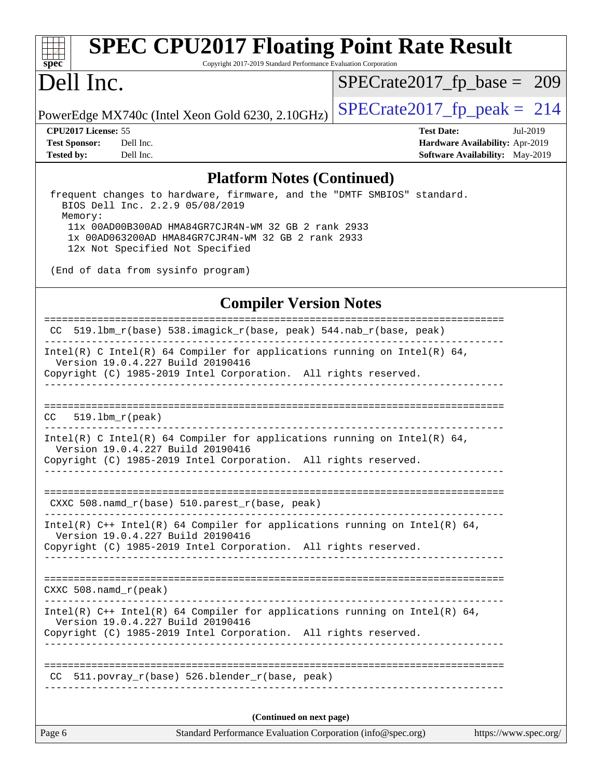# **[spec](http://www.spec.org/)**

## **[SPEC CPU2017 Floating Point Rate Result](http://www.spec.org/auto/cpu2017/Docs/result-fields.html#SPECCPU2017FloatingPointRateResult)**

Copyright 2017-2019 Standard Performance Evaluation Corporation

### Dell Inc.

[SPECrate2017\\_fp\\_base =](http://www.spec.org/auto/cpu2017/Docs/result-fields.html#SPECrate2017fpbase) 209

PowerEdge MX740c (Intel Xeon Gold 6230, 2.10GHz)  $\left|$  [SPECrate2017\\_fp\\_peak =](http://www.spec.org/auto/cpu2017/Docs/result-fields.html#SPECrate2017fppeak) 214

**[CPU2017 License:](http://www.spec.org/auto/cpu2017/Docs/result-fields.html#CPU2017License)** 55 **[Test Date:](http://www.spec.org/auto/cpu2017/Docs/result-fields.html#TestDate)** Jul-2019 **[Test Sponsor:](http://www.spec.org/auto/cpu2017/Docs/result-fields.html#TestSponsor)** Dell Inc. **[Hardware Availability:](http://www.spec.org/auto/cpu2017/Docs/result-fields.html#HardwareAvailability)** Apr-2019 **[Tested by:](http://www.spec.org/auto/cpu2017/Docs/result-fields.html#Testedby)** Dell Inc. **[Software Availability:](http://www.spec.org/auto/cpu2017/Docs/result-fields.html#SoftwareAvailability)** May-2019

#### **[Platform Notes \(Continued\)](http://www.spec.org/auto/cpu2017/Docs/result-fields.html#PlatformNotes)**

 frequent changes to hardware, firmware, and the "DMTF SMBIOS" standard. BIOS Dell Inc. 2.2.9 05/08/2019 Memory: 11x 00AD00B300AD HMA84GR7CJR4N-WM 32 GB 2 rank 2933 1x 00AD063200AD HMA84GR7CJR4N-WM 32 GB 2 rank 2933 12x Not Specified Not Specified

(End of data from sysinfo program)

#### **[Compiler Version Notes](http://www.spec.org/auto/cpu2017/Docs/result-fields.html#CompilerVersionNotes)**

Page 6 Standard Performance Evaluation Corporation [\(info@spec.org\)](mailto:info@spec.org) <https://www.spec.org/> ============================================================================== CC 519.lbm\_r(base) 538.imagick\_r(base, peak) 544.nab\_r(base, peak) ------------------------------------------------------------------------------ Intel(R) C Intel(R) 64 Compiler for applications running on Intel(R)  $64$ , Version 19.0.4.227 Build 20190416 Copyright (C) 1985-2019 Intel Corporation. All rights reserved. ------------------------------------------------------------------------------ ============================================================================== CC 519.lbm\_r(peak) ------------------------------------------------------------------------------ Intel(R) C Intel(R) 64 Compiler for applications running on Intel(R)  $64$ , Version 19.0.4.227 Build 20190416 Copyright (C) 1985-2019 Intel Corporation. All rights reserved. ------------------------------------------------------------------------------ ============================================================================== CXXC 508.namd\_r(base) 510.parest\_r(base, peak) ------------------------------------------------------------------------------ Intel(R) C++ Intel(R) 64 Compiler for applications running on Intel(R) 64, Version 19.0.4.227 Build 20190416 Copyright (C) 1985-2019 Intel Corporation. All rights reserved. ------------------------------------------------------------------------------ ============================================================================== CXXC 508.namd\_r(peak) ------------------------------------------------------------------------------ Intel(R)  $C++$  Intel(R) 64 Compiler for applications running on Intel(R) 64, Version 19.0.4.227 Build 20190416 Copyright (C) 1985-2019 Intel Corporation. All rights reserved. ------------------------------------------------------------------------------ ============================================================================== CC 511.povray\_r(base) 526.blender\_r(base, peak) ------------------------------------------------------------------------------ **(Continued on next page)**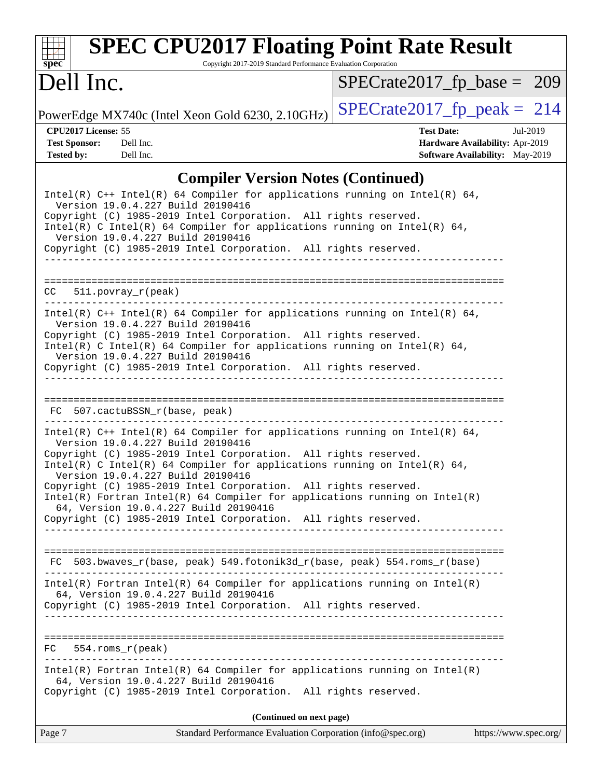| spec |  |  |  |  |  |
|------|--|--|--|--|--|

### **[SPEC CPU2017 Floating Point Rate Result](http://www.spec.org/auto/cpu2017/Docs/result-fields.html#SPECCPU2017FloatingPointRateResult)**

Copyright 2017-2019 Standard Performance Evaluation Corporation

### Dell Inc.

[SPECrate2017\\_fp\\_base =](http://www.spec.org/auto/cpu2017/Docs/result-fields.html#SPECrate2017fpbase) 209

PowerEdge MX740c (Intel Xeon Gold 6230, 2.10GHz)  $\left|$  [SPECrate2017\\_fp\\_peak =](http://www.spec.org/auto/cpu2017/Docs/result-fields.html#SPECrate2017fppeak) 214

**[CPU2017 License:](http://www.spec.org/auto/cpu2017/Docs/result-fields.html#CPU2017License)** 55 **[Test Date:](http://www.spec.org/auto/cpu2017/Docs/result-fields.html#TestDate)** Jul-2019 **[Test Sponsor:](http://www.spec.org/auto/cpu2017/Docs/result-fields.html#TestSponsor)** Dell Inc. **[Hardware Availability:](http://www.spec.org/auto/cpu2017/Docs/result-fields.html#HardwareAvailability)** Apr-2019 **[Tested by:](http://www.spec.org/auto/cpu2017/Docs/result-fields.html#Testedby)** Dell Inc. Dell Inc. **[Software Availability:](http://www.spec.org/auto/cpu2017/Docs/result-fields.html#SoftwareAvailability)** May-2019

### **[Compiler Version Notes \(Continued\)](http://www.spec.org/auto/cpu2017/Docs/result-fields.html#CompilerVersionNotes)**

| Intel(R) $C++$ Intel(R) 64 Compiler for applications running on Intel(R) 64,<br>Version 19.0.4.227 Build 20190416                                                                                                                                                                                                                                                                                                                                                                                                                                                    |
|----------------------------------------------------------------------------------------------------------------------------------------------------------------------------------------------------------------------------------------------------------------------------------------------------------------------------------------------------------------------------------------------------------------------------------------------------------------------------------------------------------------------------------------------------------------------|
| Copyright (C) 1985-2019 Intel Corporation. All rights reserved.<br>Intel(R) C Intel(R) 64 Compiler for applications running on Intel(R) 64,<br>Version 19.0.4.227 Build 20190416                                                                                                                                                                                                                                                                                                                                                                                     |
| Copyright (C) 1985-2019 Intel Corporation. All rights reserved.                                                                                                                                                                                                                                                                                                                                                                                                                                                                                                      |
| $511. povray_r (peak)$<br>CC.                                                                                                                                                                                                                                                                                                                                                                                                                                                                                                                                        |
| Intel(R) C++ Intel(R) 64 Compiler for applications running on Intel(R) 64,<br>Version 19.0.4.227 Build 20190416<br>Copyright (C) 1985-2019 Intel Corporation. All rights reserved.<br>Intel(R) C Intel(R) 64 Compiler for applications running on Intel(R) 64,<br>Version 19.0.4.227 Build 20190416<br>Copyright (C) 1985-2019 Intel Corporation. All rights reserved.                                                                                                                                                                                               |
|                                                                                                                                                                                                                                                                                                                                                                                                                                                                                                                                                                      |
| FC 507.cactuBSSN_r(base, peak)                                                                                                                                                                                                                                                                                                                                                                                                                                                                                                                                       |
| Intel(R) $C++$ Intel(R) 64 Compiler for applications running on Intel(R) 64,<br>Version 19.0.4.227 Build 20190416<br>Copyright (C) 1985-2019 Intel Corporation. All rights reserved.<br>Intel(R) C Intel(R) 64 Compiler for applications running on Intel(R) 64,<br>Version 19.0.4.227 Build 20190416<br>Copyright (C) 1985-2019 Intel Corporation. All rights reserved.<br>$Intel(R)$ Fortran Intel(R) 64 Compiler for applications running on Intel(R)<br>64, Version 19.0.4.227 Build 20190416<br>Copyright (C) 1985-2019 Intel Corporation. All rights reserved. |
| 503.bwaves_r(base, peak) 549.fotonik3d_r(base, peak) 554.roms_r(base)<br>FC                                                                                                                                                                                                                                                                                                                                                                                                                                                                                          |
| $Intel(R)$ Fortran Intel(R) 64 Compiler for applications running on Intel(R)<br>64, Version 19.0.4.227 Build 20190416<br>Copyright (C) 1985-2019 Intel Corporation. All rights reserved.                                                                                                                                                                                                                                                                                                                                                                             |
| $554$ .roms $r$ (peak)<br>FC                                                                                                                                                                                                                                                                                                                                                                                                                                                                                                                                         |
| $Intel(R)$ Fortran Intel(R) 64 Compiler for applications running on Intel(R)<br>64, Version 19.0.4.227 Build 20190416<br>Copyright (C) 1985-2019 Intel Corporation. All rights reserved.                                                                                                                                                                                                                                                                                                                                                                             |
| (Continued on next page)                                                                                                                                                                                                                                                                                                                                                                                                                                                                                                                                             |
| Standard Performance Evaluation Corporation (info@spec.org)<br>https://www.spec.org/<br>Page 7                                                                                                                                                                                                                                                                                                                                                                                                                                                                       |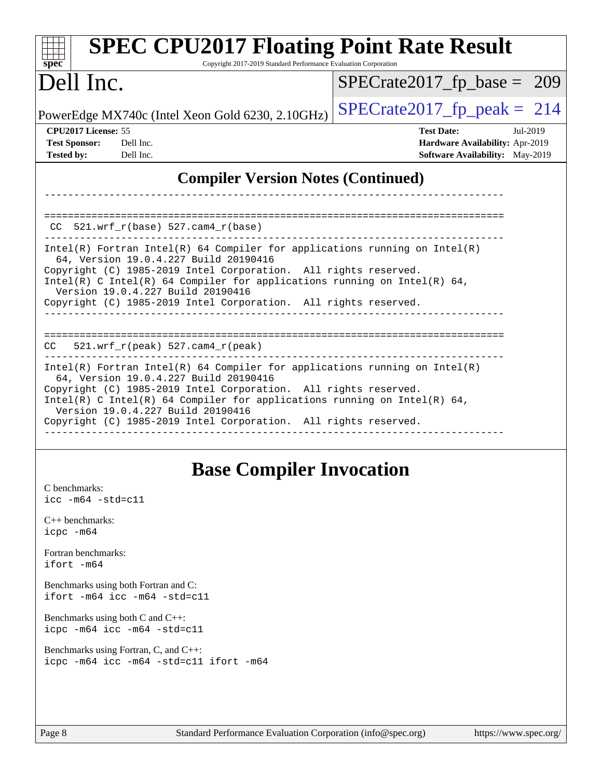| <b>SPEC CPU2017 Floating Point Rate Result</b><br>Copyright 2017-2019 Standard Performance Evaluation Corporation<br>$spec^*$                                                                                                                                                                                                                                                                                         |                                                                                                            |  |  |  |  |  |
|-----------------------------------------------------------------------------------------------------------------------------------------------------------------------------------------------------------------------------------------------------------------------------------------------------------------------------------------------------------------------------------------------------------------------|------------------------------------------------------------------------------------------------------------|--|--|--|--|--|
| Dell Inc.                                                                                                                                                                                                                                                                                                                                                                                                             | $SPECrate2017_fp\_base = 209$                                                                              |  |  |  |  |  |
| PowerEdge MX740c (Intel Xeon Gold 6230, 2.10GHz)                                                                                                                                                                                                                                                                                                                                                                      | $SPECrate2017fp peak = 214$                                                                                |  |  |  |  |  |
| CPU2017 License: 55<br><b>Test Sponsor:</b><br>Dell Inc.<br><b>Tested by:</b><br>Dell Inc.                                                                                                                                                                                                                                                                                                                            | <b>Test Date:</b><br>Jul-2019<br>Hardware Availability: Apr-2019<br><b>Software Availability:</b> May-2019 |  |  |  |  |  |
| <b>Compiler Version Notes (Continued)</b>                                                                                                                                                                                                                                                                                                                                                                             |                                                                                                            |  |  |  |  |  |
| $CC$ 521.wrf_r(base) 527.cam4_r(base)<br>$Intel(R)$ Fortran Intel(R) 64 Compiler for applications running on Intel(R)<br>64, Version 19.0.4.227 Build 20190416<br>Copyright (C) 1985-2019 Intel Corporation. All rights reserved.<br>Intel(R) C Intel(R) 64 Compiler for applications running on Intel(R) 64,<br>Version 19.0.4.227 Build 20190416<br>Copyright (C) 1985-2019 Intel Corporation. All rights reserved. |                                                                                                            |  |  |  |  |  |
| $CC = 521.wrf_r(peak) 527.cam4_r(peak)$                                                                                                                                                                                                                                                                                                                                                                               |                                                                                                            |  |  |  |  |  |
| Intel(R) Fortran Intel(R) 64 Compiler for applications running on $Intel(R)$<br>64, Version 19.0.4.227 Build 20190416<br>Copyright (C) 1985-2019 Intel Corporation. All rights reserved.<br>Intel(R) C Intel(R) 64 Compiler for applications running on Intel(R) 64,<br>Version 19.0.4.227 Build 20190416<br>Copyright (C) 1985-2019 Intel Corporation. All rights reserved.<br>-----------------                     |                                                                                                            |  |  |  |  |  |

### **[Base Compiler Invocation](http://www.spec.org/auto/cpu2017/Docs/result-fields.html#BaseCompilerInvocation)**

[C benchmarks](http://www.spec.org/auto/cpu2017/Docs/result-fields.html#Cbenchmarks): [icc -m64 -std=c11](http://www.spec.org/cpu2017/results/res2019q3/cpu2017-20190805-16505.flags.html#user_CCbase_intel_icc_64bit_c11_33ee0cdaae7deeeab2a9725423ba97205ce30f63b9926c2519791662299b76a0318f32ddfffdc46587804de3178b4f9328c46fa7c2b0cd779d7a61945c91cd35)

[C++ benchmarks:](http://www.spec.org/auto/cpu2017/Docs/result-fields.html#CXXbenchmarks) [icpc -m64](http://www.spec.org/cpu2017/results/res2019q3/cpu2017-20190805-16505.flags.html#user_CXXbase_intel_icpc_64bit_4ecb2543ae3f1412ef961e0650ca070fec7b7afdcd6ed48761b84423119d1bf6bdf5cad15b44d48e7256388bc77273b966e5eb805aefd121eb22e9299b2ec9d9)

[Fortran benchmarks](http://www.spec.org/auto/cpu2017/Docs/result-fields.html#Fortranbenchmarks): [ifort -m64](http://www.spec.org/cpu2017/results/res2019q3/cpu2017-20190805-16505.flags.html#user_FCbase_intel_ifort_64bit_24f2bb282fbaeffd6157abe4f878425411749daecae9a33200eee2bee2fe76f3b89351d69a8130dd5949958ce389cf37ff59a95e7a40d588e8d3a57e0c3fd751)

[Benchmarks using both Fortran and C](http://www.spec.org/auto/cpu2017/Docs/result-fields.html#BenchmarksusingbothFortranandC): [ifort -m64](http://www.spec.org/cpu2017/results/res2019q3/cpu2017-20190805-16505.flags.html#user_CC_FCbase_intel_ifort_64bit_24f2bb282fbaeffd6157abe4f878425411749daecae9a33200eee2bee2fe76f3b89351d69a8130dd5949958ce389cf37ff59a95e7a40d588e8d3a57e0c3fd751) [icc -m64 -std=c11](http://www.spec.org/cpu2017/results/res2019q3/cpu2017-20190805-16505.flags.html#user_CC_FCbase_intel_icc_64bit_c11_33ee0cdaae7deeeab2a9725423ba97205ce30f63b9926c2519791662299b76a0318f32ddfffdc46587804de3178b4f9328c46fa7c2b0cd779d7a61945c91cd35)

[Benchmarks using both C and C++](http://www.spec.org/auto/cpu2017/Docs/result-fields.html#BenchmarksusingbothCandCXX): [icpc -m64](http://www.spec.org/cpu2017/results/res2019q3/cpu2017-20190805-16505.flags.html#user_CC_CXXbase_intel_icpc_64bit_4ecb2543ae3f1412ef961e0650ca070fec7b7afdcd6ed48761b84423119d1bf6bdf5cad15b44d48e7256388bc77273b966e5eb805aefd121eb22e9299b2ec9d9) [icc -m64 -std=c11](http://www.spec.org/cpu2017/results/res2019q3/cpu2017-20190805-16505.flags.html#user_CC_CXXbase_intel_icc_64bit_c11_33ee0cdaae7deeeab2a9725423ba97205ce30f63b9926c2519791662299b76a0318f32ddfffdc46587804de3178b4f9328c46fa7c2b0cd779d7a61945c91cd35)

[Benchmarks using Fortran, C, and C++:](http://www.spec.org/auto/cpu2017/Docs/result-fields.html#BenchmarksusingFortranCandCXX) [icpc -m64](http://www.spec.org/cpu2017/results/res2019q3/cpu2017-20190805-16505.flags.html#user_CC_CXX_FCbase_intel_icpc_64bit_4ecb2543ae3f1412ef961e0650ca070fec7b7afdcd6ed48761b84423119d1bf6bdf5cad15b44d48e7256388bc77273b966e5eb805aefd121eb22e9299b2ec9d9) [icc -m64 -std=c11](http://www.spec.org/cpu2017/results/res2019q3/cpu2017-20190805-16505.flags.html#user_CC_CXX_FCbase_intel_icc_64bit_c11_33ee0cdaae7deeeab2a9725423ba97205ce30f63b9926c2519791662299b76a0318f32ddfffdc46587804de3178b4f9328c46fa7c2b0cd779d7a61945c91cd35) [ifort -m64](http://www.spec.org/cpu2017/results/res2019q3/cpu2017-20190805-16505.flags.html#user_CC_CXX_FCbase_intel_ifort_64bit_24f2bb282fbaeffd6157abe4f878425411749daecae9a33200eee2bee2fe76f3b89351d69a8130dd5949958ce389cf37ff59a95e7a40d588e8d3a57e0c3fd751)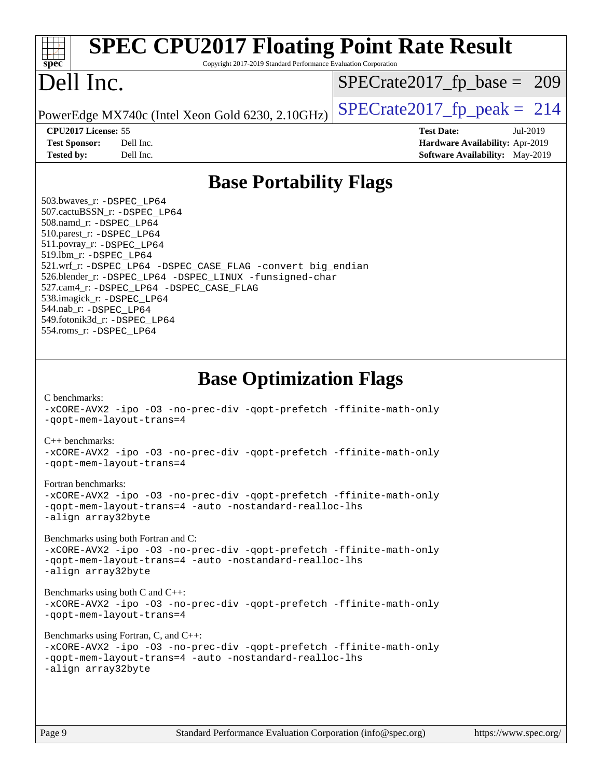| <b>SPEC CPU2017 Floating Point Rate Result</b><br>Copyright 2017-2019 Standard Performance Evaluation Corporation<br>spec <sup>®</sup>                                                                                                                                                                                                                                                                                                                                                                                                                                                                                                                                                                                                                                                                                                                                                                                                                                                            |                                                                                                            |
|---------------------------------------------------------------------------------------------------------------------------------------------------------------------------------------------------------------------------------------------------------------------------------------------------------------------------------------------------------------------------------------------------------------------------------------------------------------------------------------------------------------------------------------------------------------------------------------------------------------------------------------------------------------------------------------------------------------------------------------------------------------------------------------------------------------------------------------------------------------------------------------------------------------------------------------------------------------------------------------------------|------------------------------------------------------------------------------------------------------------|
| Dell Inc.                                                                                                                                                                                                                                                                                                                                                                                                                                                                                                                                                                                                                                                                                                                                                                                                                                                                                                                                                                                         | $SPECrate2017_fp\_base = 209$                                                                              |
| PowerEdge MX740c (Intel Xeon Gold 6230, 2.10GHz)                                                                                                                                                                                                                                                                                                                                                                                                                                                                                                                                                                                                                                                                                                                                                                                                                                                                                                                                                  | $SPECTate2017$ fp peak = 214                                                                               |
| CPU2017 License: 55<br><b>Test Sponsor:</b><br>Dell Inc.<br>Dell Inc.<br><b>Tested by:</b>                                                                                                                                                                                                                                                                                                                                                                                                                                                                                                                                                                                                                                                                                                                                                                                                                                                                                                        | <b>Test Date:</b><br>Jul-2019<br>Hardware Availability: Apr-2019<br><b>Software Availability:</b> May-2019 |
| <b>Base Portability Flags</b>                                                                                                                                                                                                                                                                                                                                                                                                                                                                                                                                                                                                                                                                                                                                                                                                                                                                                                                                                                     |                                                                                                            |
| 503.bwaves_r: -DSPEC LP64<br>507.cactuBSSN_r: - DSPEC LP64<br>508.namd_r: -DSPEC_LP64<br>510.parest_r: -DSPEC LP64<br>511.povray_r: -DSPEC_LP64<br>519.1bm_r: - DSPEC LP64<br>521.wrf_r: -DSPEC_LP64 -DSPEC_CASE_FLAG -convert big_endian<br>526.blender_r: -DSPEC_LP64 -DSPEC_LINUX -funsigned-char<br>527.cam4_r: -DSPEC_LP64 -DSPEC_CASE_FLAG<br>538.imagick_r: -DSPEC_LP64<br>544.nab_r: -DSPEC LP64<br>549.fotonik3d_r: -DSPEC LP64<br>554.roms_r: -DSPEC_LP64                                                                                                                                                                                                                                                                                                                                                                                                                                                                                                                               |                                                                                                            |
| <b>Base Optimization Flags</b><br>C benchmarks:<br>-xCORE-AVX2 -ipo -03 -no-prec-div -qopt-prefetch -ffinite-math-only<br>-gopt-mem-layout-trans=4<br>$C_{++}$ benchmarks:<br>-xCORE-AVX2 -ipo -03 -no-prec-div -qopt-prefetch -ffinite-math-only<br>-qopt-mem-layout-trans=4<br>Fortran benchmarks:<br>-xCORE-AVX2 -ipo -03 -no-prec-div -qopt-prefetch -ffinite-math-only<br>-gopt-mem-layout-trans=4 -auto -nostandard-realloc-lhs<br>-align array32byte<br>Benchmarks using both Fortran and C:<br>-xCORE-AVX2 -ipo -03 -no-prec-div -qopt-prefetch -ffinite-math-only<br>-qopt-mem-layout-trans=4 -auto -nostandard-realloc-lhs<br>-align array32byte<br>Benchmarks using both C and C++:<br>-xCORE-AVX2 -ipo -03 -no-prec-div -qopt-prefetch -ffinite-math-only<br>-qopt-mem-layout-trans=4<br>Benchmarks using Fortran, C, and C++:<br>-xCORE-AVX2 -ipo -03 -no-prec-div -qopt-prefetch -ffinite-math-only<br>-qopt-mem-layout-trans=4 -auto -nostandard-realloc-lhs<br>-align array32byte |                                                                                                            |
| Standard Performance Evaluation Corporation (info@spec.org)<br>Page 9                                                                                                                                                                                                                                                                                                                                                                                                                                                                                                                                                                                                                                                                                                                                                                                                                                                                                                                             | https://www.spec.org/                                                                                      |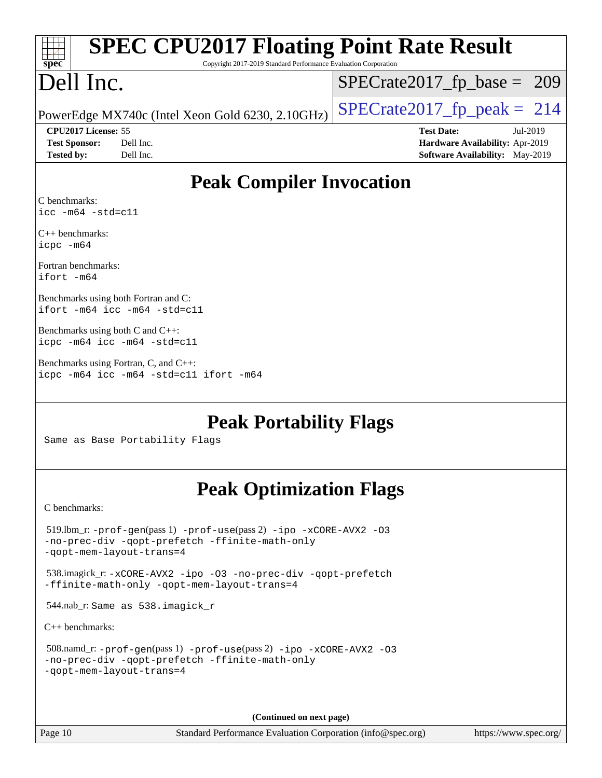| <b>SPEC CPU2017 Floating Point Rate Result</b><br>Copyright 2017-2019 Standard Performance Evaluation Corporation<br>spec <sup>®</sup>               |                                                                                                            |  |  |  |  |
|------------------------------------------------------------------------------------------------------------------------------------------------------|------------------------------------------------------------------------------------------------------------|--|--|--|--|
| Dell Inc.                                                                                                                                            | $SPECrate2017_fp\_base = 209$                                                                              |  |  |  |  |
| PowerEdge MX740c (Intel Xeon Gold 6230, 2.10GHz)                                                                                                     | $SPECrate2017_fp\_peak = 214$                                                                              |  |  |  |  |
| CPU2017 License: 55<br><b>Test Sponsor:</b><br>Dell Inc.<br>Dell Inc.<br><b>Tested by:</b>                                                           | <b>Test Date:</b><br>Jul-2019<br>Hardware Availability: Apr-2019<br><b>Software Availability:</b> May-2019 |  |  |  |  |
| <b>Peak Compiler Invocation</b>                                                                                                                      |                                                                                                            |  |  |  |  |
| C benchmarks:<br>$\text{icc -m64 -std=c11}$                                                                                                          |                                                                                                            |  |  |  |  |
| $C_{++}$ benchmarks:<br>icpc -m64                                                                                                                    |                                                                                                            |  |  |  |  |
| Fortran benchmarks:<br>ifort -m64                                                                                                                    |                                                                                                            |  |  |  |  |
| Benchmarks using both Fortran and C:<br>ifort $-m64$ icc $-m64$ $-std= c11$                                                                          |                                                                                                            |  |  |  |  |
| Benchmarks using both C and C++:<br>icpc -m64 icc -m64 -std=c11                                                                                      |                                                                                                            |  |  |  |  |
| Benchmarks using Fortran, C, and C++:<br>icpc -m64 icc -m64 -std=c11 ifort -m64                                                                      |                                                                                                            |  |  |  |  |
| <b>Peak Portability Flags</b><br>Same as Base Portability Flags                                                                                      |                                                                                                            |  |  |  |  |
| <b>Peak Optimization Flags</b>                                                                                                                       |                                                                                                            |  |  |  |  |
| C benchmarks:                                                                                                                                        |                                                                                                            |  |  |  |  |
| $519.1$ bm_r: -prof-gen(pass 1) -prof-use(pass 2) -ipo -xCORE-AVX2 -03<br>-no-prec-div -qopt-prefetch -ffinite-math-only<br>-gopt-mem-layout-trans=4 |                                                                                                            |  |  |  |  |
| 538.imagick_r: -xCORE-AVX2 -ipo -03 -no-prec-div -qopt-prefetch<br>-ffinite-math-only -qopt-mem-layout-trans=4                                       |                                                                                                            |  |  |  |  |
| 544.nab_r: Same as 538.imagick_r                                                                                                                     |                                                                                                            |  |  |  |  |
| $C_{++}$ benchmarks:                                                                                                                                 |                                                                                                            |  |  |  |  |
| 508.namd_r: -prof-gen(pass 1) -prof-use(pass 2) -ipo -xCORE-AVX2 -03<br>-no-prec-div -qopt-prefetch -ffinite-math-only<br>-gopt-mem-layout-trans=4   |                                                                                                            |  |  |  |  |

**(Continued on next page)**

Page 10 Standard Performance Evaluation Corporation [\(info@spec.org\)](mailto:info@spec.org) <https://www.spec.org/>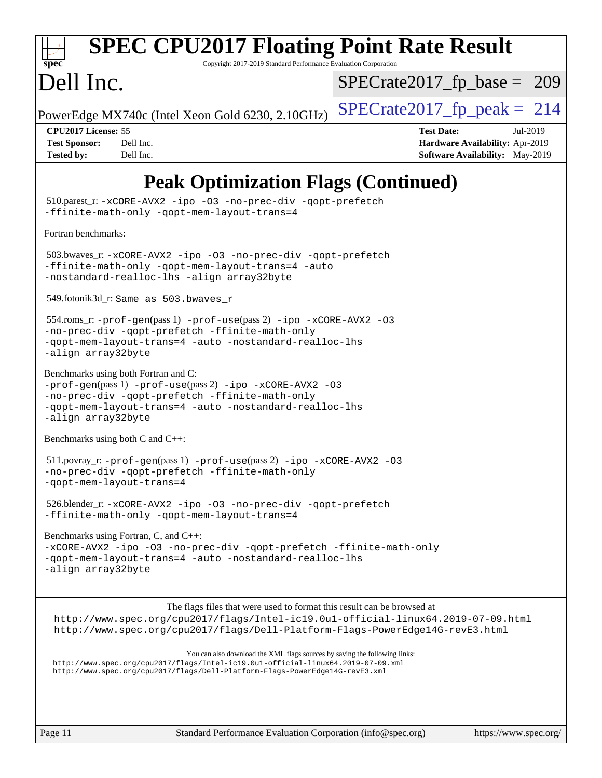

### **[SPEC CPU2017 Floating Point Rate Result](http://www.spec.org/auto/cpu2017/Docs/result-fields.html#SPECCPU2017FloatingPointRateResult)**

Copyright 2017-2019 Standard Performance Evaluation Corporation

### Dell Inc.

[SPECrate2017\\_fp\\_base =](http://www.spec.org/auto/cpu2017/Docs/result-fields.html#SPECrate2017fpbase) 209

PowerEdge MX740c (Intel Xeon Gold 6230, 2.10GHz)  $\left|$  [SPECrate2017\\_fp\\_peak =](http://www.spec.org/auto/cpu2017/Docs/result-fields.html#SPECrate2017fppeak) 214

**[CPU2017 License:](http://www.spec.org/auto/cpu2017/Docs/result-fields.html#CPU2017License)** 55 **[Test Date:](http://www.spec.org/auto/cpu2017/Docs/result-fields.html#TestDate)** Jul-2019 **[Test Sponsor:](http://www.spec.org/auto/cpu2017/Docs/result-fields.html#TestSponsor)** Dell Inc. **[Hardware Availability:](http://www.spec.org/auto/cpu2017/Docs/result-fields.html#HardwareAvailability)** Apr-2019 **[Tested by:](http://www.spec.org/auto/cpu2017/Docs/result-fields.html#Testedby)** Dell Inc. Dell Inc. **[Software Availability:](http://www.spec.org/auto/cpu2017/Docs/result-fields.html#SoftwareAvailability)** May-2019

### **[Peak Optimization Flags \(Continued\)](http://www.spec.org/auto/cpu2017/Docs/result-fields.html#PeakOptimizationFlags)**

 510.parest\_r: [-xCORE-AVX2](http://www.spec.org/cpu2017/results/res2019q3/cpu2017-20190805-16505.flags.html#user_peakCXXOPTIMIZE510_parest_r_f-xCORE-AVX2) [-ipo](http://www.spec.org/cpu2017/results/res2019q3/cpu2017-20190805-16505.flags.html#user_peakCXXOPTIMIZE510_parest_r_f-ipo) [-O3](http://www.spec.org/cpu2017/results/res2019q3/cpu2017-20190805-16505.flags.html#user_peakCXXOPTIMIZE510_parest_r_f-O3) [-no-prec-div](http://www.spec.org/cpu2017/results/res2019q3/cpu2017-20190805-16505.flags.html#user_peakCXXOPTIMIZE510_parest_r_f-no-prec-div) [-qopt-prefetch](http://www.spec.org/cpu2017/results/res2019q3/cpu2017-20190805-16505.flags.html#user_peakCXXOPTIMIZE510_parest_r_f-qopt-prefetch) [-ffinite-math-only](http://www.spec.org/cpu2017/results/res2019q3/cpu2017-20190805-16505.flags.html#user_peakCXXOPTIMIZE510_parest_r_f_finite_math_only_cb91587bd2077682c4b38af759c288ed7c732db004271a9512da14a4f8007909a5f1427ecbf1a0fb78ff2a814402c6114ac565ca162485bbcae155b5e4258871) [-qopt-mem-layout-trans=4](http://www.spec.org/cpu2017/results/res2019q3/cpu2017-20190805-16505.flags.html#user_peakCXXOPTIMIZE510_parest_r_f-qopt-mem-layout-trans_fa39e755916c150a61361b7846f310bcdf6f04e385ef281cadf3647acec3f0ae266d1a1d22d972a7087a248fd4e6ca390a3634700869573d231a252c784941a8) [Fortran benchmarks](http://www.spec.org/auto/cpu2017/Docs/result-fields.html#Fortranbenchmarks): 503.bwaves\_r: [-xCORE-AVX2](http://www.spec.org/cpu2017/results/res2019q3/cpu2017-20190805-16505.flags.html#user_peakFOPTIMIZE503_bwaves_r_f-xCORE-AVX2) [-ipo](http://www.spec.org/cpu2017/results/res2019q3/cpu2017-20190805-16505.flags.html#user_peakFOPTIMIZE503_bwaves_r_f-ipo) [-O3](http://www.spec.org/cpu2017/results/res2019q3/cpu2017-20190805-16505.flags.html#user_peakFOPTIMIZE503_bwaves_r_f-O3) [-no-prec-div](http://www.spec.org/cpu2017/results/res2019q3/cpu2017-20190805-16505.flags.html#user_peakFOPTIMIZE503_bwaves_r_f-no-prec-div) [-qopt-prefetch](http://www.spec.org/cpu2017/results/res2019q3/cpu2017-20190805-16505.flags.html#user_peakFOPTIMIZE503_bwaves_r_f-qopt-prefetch) [-ffinite-math-only](http://www.spec.org/cpu2017/results/res2019q3/cpu2017-20190805-16505.flags.html#user_peakFOPTIMIZE503_bwaves_r_f_finite_math_only_cb91587bd2077682c4b38af759c288ed7c732db004271a9512da14a4f8007909a5f1427ecbf1a0fb78ff2a814402c6114ac565ca162485bbcae155b5e4258871) [-qopt-mem-layout-trans=4](http://www.spec.org/cpu2017/results/res2019q3/cpu2017-20190805-16505.flags.html#user_peakFOPTIMIZE503_bwaves_r_f-qopt-mem-layout-trans_fa39e755916c150a61361b7846f310bcdf6f04e385ef281cadf3647acec3f0ae266d1a1d22d972a7087a248fd4e6ca390a3634700869573d231a252c784941a8) [-auto](http://www.spec.org/cpu2017/results/res2019q3/cpu2017-20190805-16505.flags.html#user_peakFOPTIMIZE503_bwaves_r_f-auto) [-nostandard-realloc-lhs](http://www.spec.org/cpu2017/results/res2019q3/cpu2017-20190805-16505.flags.html#user_peakEXTRA_FOPTIMIZE503_bwaves_r_f_2003_std_realloc_82b4557e90729c0f113870c07e44d33d6f5a304b4f63d4c15d2d0f1fab99f5daaed73bdb9275d9ae411527f28b936061aa8b9c8f2d63842963b95c9dd6426b8a) [-align array32byte](http://www.spec.org/cpu2017/results/res2019q3/cpu2017-20190805-16505.flags.html#user_peakEXTRA_FOPTIMIZE503_bwaves_r_align_array32byte_b982fe038af199962ba9a80c053b8342c548c85b40b8e86eb3cc33dee0d7986a4af373ac2d51c3f7cf710a18d62fdce2948f201cd044323541f22fc0fffc51b6) 549.fotonik3d\_r: Same as 503.bwaves\_r 554.roms\_r: [-prof-gen](http://www.spec.org/cpu2017/results/res2019q3/cpu2017-20190805-16505.flags.html#user_peakPASS1_FFLAGSPASS1_LDFLAGS554_roms_r_prof_gen_5aa4926d6013ddb2a31985c654b3eb18169fc0c6952a63635c234f711e6e63dd76e94ad52365559451ec499a2cdb89e4dc58ba4c67ef54ca681ffbe1461d6b36)(pass 1) [-prof-use](http://www.spec.org/cpu2017/results/res2019q3/cpu2017-20190805-16505.flags.html#user_peakPASS2_FFLAGSPASS2_LDFLAGS554_roms_r_prof_use_1a21ceae95f36a2b53c25747139a6c16ca95bd9def2a207b4f0849963b97e94f5260e30a0c64f4bb623698870e679ca08317ef8150905d41bd88c6f78df73f19)(pass 2) [-ipo](http://www.spec.org/cpu2017/results/res2019q3/cpu2017-20190805-16505.flags.html#user_peakPASS1_FOPTIMIZEPASS2_FOPTIMIZE554_roms_r_f-ipo) [-xCORE-AVX2](http://www.spec.org/cpu2017/results/res2019q3/cpu2017-20190805-16505.flags.html#user_peakPASS2_FOPTIMIZE554_roms_r_f-xCORE-AVX2) [-O3](http://www.spec.org/cpu2017/results/res2019q3/cpu2017-20190805-16505.flags.html#user_peakPASS1_FOPTIMIZEPASS2_FOPTIMIZE554_roms_r_f-O3) [-no-prec-div](http://www.spec.org/cpu2017/results/res2019q3/cpu2017-20190805-16505.flags.html#user_peakPASS1_FOPTIMIZEPASS2_FOPTIMIZE554_roms_r_f-no-prec-div) [-qopt-prefetch](http://www.spec.org/cpu2017/results/res2019q3/cpu2017-20190805-16505.flags.html#user_peakPASS1_FOPTIMIZEPASS2_FOPTIMIZE554_roms_r_f-qopt-prefetch) [-ffinite-math-only](http://www.spec.org/cpu2017/results/res2019q3/cpu2017-20190805-16505.flags.html#user_peakPASS1_FOPTIMIZEPASS2_FOPTIMIZE554_roms_r_f_finite_math_only_cb91587bd2077682c4b38af759c288ed7c732db004271a9512da14a4f8007909a5f1427ecbf1a0fb78ff2a814402c6114ac565ca162485bbcae155b5e4258871) [-qopt-mem-layout-trans=4](http://www.spec.org/cpu2017/results/res2019q3/cpu2017-20190805-16505.flags.html#user_peakPASS1_FOPTIMIZEPASS2_FOPTIMIZE554_roms_r_f-qopt-mem-layout-trans_fa39e755916c150a61361b7846f310bcdf6f04e385ef281cadf3647acec3f0ae266d1a1d22d972a7087a248fd4e6ca390a3634700869573d231a252c784941a8) [-auto](http://www.spec.org/cpu2017/results/res2019q3/cpu2017-20190805-16505.flags.html#user_peakPASS2_FOPTIMIZE554_roms_r_f-auto) [-nostandard-realloc-lhs](http://www.spec.org/cpu2017/results/res2019q3/cpu2017-20190805-16505.flags.html#user_peakEXTRA_FOPTIMIZE554_roms_r_f_2003_std_realloc_82b4557e90729c0f113870c07e44d33d6f5a304b4f63d4c15d2d0f1fab99f5daaed73bdb9275d9ae411527f28b936061aa8b9c8f2d63842963b95c9dd6426b8a) [-align array32byte](http://www.spec.org/cpu2017/results/res2019q3/cpu2017-20190805-16505.flags.html#user_peakEXTRA_FOPTIMIZE554_roms_r_align_array32byte_b982fe038af199962ba9a80c053b8342c548c85b40b8e86eb3cc33dee0d7986a4af373ac2d51c3f7cf710a18d62fdce2948f201cd044323541f22fc0fffc51b6) [Benchmarks using both Fortran and C](http://www.spec.org/auto/cpu2017/Docs/result-fields.html#BenchmarksusingbothFortranandC): [-prof-gen](http://www.spec.org/cpu2017/results/res2019q3/cpu2017-20190805-16505.flags.html#user_CC_FCpeak_prof_gen_5aa4926d6013ddb2a31985c654b3eb18169fc0c6952a63635c234f711e6e63dd76e94ad52365559451ec499a2cdb89e4dc58ba4c67ef54ca681ffbe1461d6b36)(pass 1) [-prof-use](http://www.spec.org/cpu2017/results/res2019q3/cpu2017-20190805-16505.flags.html#user_CC_FCpeak_prof_use_1a21ceae95f36a2b53c25747139a6c16ca95bd9def2a207b4f0849963b97e94f5260e30a0c64f4bb623698870e679ca08317ef8150905d41bd88c6f78df73f19)(pass 2) [-ipo](http://www.spec.org/cpu2017/results/res2019q3/cpu2017-20190805-16505.flags.html#user_CC_FCpeak_f-ipo) [-xCORE-AVX2](http://www.spec.org/cpu2017/results/res2019q3/cpu2017-20190805-16505.flags.html#user_CC_FCpeak_f-xCORE-AVX2) [-O3](http://www.spec.org/cpu2017/results/res2019q3/cpu2017-20190805-16505.flags.html#user_CC_FCpeak_f-O3) [-no-prec-div](http://www.spec.org/cpu2017/results/res2019q3/cpu2017-20190805-16505.flags.html#user_CC_FCpeak_f-no-prec-div) [-qopt-prefetch](http://www.spec.org/cpu2017/results/res2019q3/cpu2017-20190805-16505.flags.html#user_CC_FCpeak_f-qopt-prefetch) [-ffinite-math-only](http://www.spec.org/cpu2017/results/res2019q3/cpu2017-20190805-16505.flags.html#user_CC_FCpeak_f_finite_math_only_cb91587bd2077682c4b38af759c288ed7c732db004271a9512da14a4f8007909a5f1427ecbf1a0fb78ff2a814402c6114ac565ca162485bbcae155b5e4258871) [-qopt-mem-layout-trans=4](http://www.spec.org/cpu2017/results/res2019q3/cpu2017-20190805-16505.flags.html#user_CC_FCpeak_f-qopt-mem-layout-trans_fa39e755916c150a61361b7846f310bcdf6f04e385ef281cadf3647acec3f0ae266d1a1d22d972a7087a248fd4e6ca390a3634700869573d231a252c784941a8) [-auto](http://www.spec.org/cpu2017/results/res2019q3/cpu2017-20190805-16505.flags.html#user_CC_FCpeak_f-auto) [-nostandard-realloc-lhs](http://www.spec.org/cpu2017/results/res2019q3/cpu2017-20190805-16505.flags.html#user_CC_FCpeak_f_2003_std_realloc_82b4557e90729c0f113870c07e44d33d6f5a304b4f63d4c15d2d0f1fab99f5daaed73bdb9275d9ae411527f28b936061aa8b9c8f2d63842963b95c9dd6426b8a) [-align array32byte](http://www.spec.org/cpu2017/results/res2019q3/cpu2017-20190805-16505.flags.html#user_CC_FCpeak_align_array32byte_b982fe038af199962ba9a80c053b8342c548c85b40b8e86eb3cc33dee0d7986a4af373ac2d51c3f7cf710a18d62fdce2948f201cd044323541f22fc0fffc51b6) [Benchmarks using both C and C++](http://www.spec.org/auto/cpu2017/Docs/result-fields.html#BenchmarksusingbothCandCXX): 511.povray\_r: [-prof-gen](http://www.spec.org/cpu2017/results/res2019q3/cpu2017-20190805-16505.flags.html#user_peakPASS1_CFLAGSPASS1_CXXFLAGSPASS1_LDFLAGS511_povray_r_prof_gen_5aa4926d6013ddb2a31985c654b3eb18169fc0c6952a63635c234f711e6e63dd76e94ad52365559451ec499a2cdb89e4dc58ba4c67ef54ca681ffbe1461d6b36)(pass 1) [-prof-use](http://www.spec.org/cpu2017/results/res2019q3/cpu2017-20190805-16505.flags.html#user_peakPASS2_CFLAGSPASS2_CXXFLAGSPASS2_LDFLAGS511_povray_r_prof_use_1a21ceae95f36a2b53c25747139a6c16ca95bd9def2a207b4f0849963b97e94f5260e30a0c64f4bb623698870e679ca08317ef8150905d41bd88c6f78df73f19)(pass 2) [-ipo](http://www.spec.org/cpu2017/results/res2019q3/cpu2017-20190805-16505.flags.html#user_peakPASS1_COPTIMIZEPASS1_CXXOPTIMIZEPASS2_COPTIMIZEPASS2_CXXOPTIMIZE511_povray_r_f-ipo) [-xCORE-AVX2](http://www.spec.org/cpu2017/results/res2019q3/cpu2017-20190805-16505.flags.html#user_peakPASS2_COPTIMIZEPASS2_CXXOPTIMIZE511_povray_r_f-xCORE-AVX2) [-O3](http://www.spec.org/cpu2017/results/res2019q3/cpu2017-20190805-16505.flags.html#user_peakPASS1_COPTIMIZEPASS1_CXXOPTIMIZEPASS2_COPTIMIZEPASS2_CXXOPTIMIZE511_povray_r_f-O3) [-no-prec-div](http://www.spec.org/cpu2017/results/res2019q3/cpu2017-20190805-16505.flags.html#user_peakPASS1_COPTIMIZEPASS1_CXXOPTIMIZEPASS2_COPTIMIZEPASS2_CXXOPTIMIZE511_povray_r_f-no-prec-div) [-qopt-prefetch](http://www.spec.org/cpu2017/results/res2019q3/cpu2017-20190805-16505.flags.html#user_peakPASS1_COPTIMIZEPASS1_CXXOPTIMIZEPASS2_COPTIMIZEPASS2_CXXOPTIMIZE511_povray_r_f-qopt-prefetch) [-ffinite-math-only](http://www.spec.org/cpu2017/results/res2019q3/cpu2017-20190805-16505.flags.html#user_peakPASS1_COPTIMIZEPASS1_CXXOPTIMIZEPASS2_COPTIMIZEPASS2_CXXOPTIMIZE511_povray_r_f_finite_math_only_cb91587bd2077682c4b38af759c288ed7c732db004271a9512da14a4f8007909a5f1427ecbf1a0fb78ff2a814402c6114ac565ca162485bbcae155b5e4258871) [-qopt-mem-layout-trans=4](http://www.spec.org/cpu2017/results/res2019q3/cpu2017-20190805-16505.flags.html#user_peakPASS1_COPTIMIZEPASS1_CXXOPTIMIZEPASS2_COPTIMIZEPASS2_CXXOPTIMIZE511_povray_r_f-qopt-mem-layout-trans_fa39e755916c150a61361b7846f310bcdf6f04e385ef281cadf3647acec3f0ae266d1a1d22d972a7087a248fd4e6ca390a3634700869573d231a252c784941a8) 526.blender\_r: [-xCORE-AVX2](http://www.spec.org/cpu2017/results/res2019q3/cpu2017-20190805-16505.flags.html#user_peakCOPTIMIZECXXOPTIMIZE526_blender_r_f-xCORE-AVX2) [-ipo](http://www.spec.org/cpu2017/results/res2019q3/cpu2017-20190805-16505.flags.html#user_peakCOPTIMIZECXXOPTIMIZE526_blender_r_f-ipo) [-O3](http://www.spec.org/cpu2017/results/res2019q3/cpu2017-20190805-16505.flags.html#user_peakCOPTIMIZECXXOPTIMIZE526_blender_r_f-O3) [-no-prec-div](http://www.spec.org/cpu2017/results/res2019q3/cpu2017-20190805-16505.flags.html#user_peakCOPTIMIZECXXOPTIMIZE526_blender_r_f-no-prec-div) [-qopt-prefetch](http://www.spec.org/cpu2017/results/res2019q3/cpu2017-20190805-16505.flags.html#user_peakCOPTIMIZECXXOPTIMIZE526_blender_r_f-qopt-prefetch) [-ffinite-math-only](http://www.spec.org/cpu2017/results/res2019q3/cpu2017-20190805-16505.flags.html#user_peakCOPTIMIZECXXOPTIMIZE526_blender_r_f_finite_math_only_cb91587bd2077682c4b38af759c288ed7c732db004271a9512da14a4f8007909a5f1427ecbf1a0fb78ff2a814402c6114ac565ca162485bbcae155b5e4258871) [-qopt-mem-layout-trans=4](http://www.spec.org/cpu2017/results/res2019q3/cpu2017-20190805-16505.flags.html#user_peakCOPTIMIZECXXOPTIMIZE526_blender_r_f-qopt-mem-layout-trans_fa39e755916c150a61361b7846f310bcdf6f04e385ef281cadf3647acec3f0ae266d1a1d22d972a7087a248fd4e6ca390a3634700869573d231a252c784941a8) [Benchmarks using Fortran, C, and C++:](http://www.spec.org/auto/cpu2017/Docs/result-fields.html#BenchmarksusingFortranCandCXX) [-xCORE-AVX2](http://www.spec.org/cpu2017/results/res2019q3/cpu2017-20190805-16505.flags.html#user_CC_CXX_FCpeak_f-xCORE-AVX2) [-ipo](http://www.spec.org/cpu2017/results/res2019q3/cpu2017-20190805-16505.flags.html#user_CC_CXX_FCpeak_f-ipo) [-O3](http://www.spec.org/cpu2017/results/res2019q3/cpu2017-20190805-16505.flags.html#user_CC_CXX_FCpeak_f-O3) [-no-prec-div](http://www.spec.org/cpu2017/results/res2019q3/cpu2017-20190805-16505.flags.html#user_CC_CXX_FCpeak_f-no-prec-div) [-qopt-prefetch](http://www.spec.org/cpu2017/results/res2019q3/cpu2017-20190805-16505.flags.html#user_CC_CXX_FCpeak_f-qopt-prefetch) [-ffinite-math-only](http://www.spec.org/cpu2017/results/res2019q3/cpu2017-20190805-16505.flags.html#user_CC_CXX_FCpeak_f_finite_math_only_cb91587bd2077682c4b38af759c288ed7c732db004271a9512da14a4f8007909a5f1427ecbf1a0fb78ff2a814402c6114ac565ca162485bbcae155b5e4258871) [-qopt-mem-layout-trans=4](http://www.spec.org/cpu2017/results/res2019q3/cpu2017-20190805-16505.flags.html#user_CC_CXX_FCpeak_f-qopt-mem-layout-trans_fa39e755916c150a61361b7846f310bcdf6f04e385ef281cadf3647acec3f0ae266d1a1d22d972a7087a248fd4e6ca390a3634700869573d231a252c784941a8) [-auto](http://www.spec.org/cpu2017/results/res2019q3/cpu2017-20190805-16505.flags.html#user_CC_CXX_FCpeak_f-auto) [-nostandard-realloc-lhs](http://www.spec.org/cpu2017/results/res2019q3/cpu2017-20190805-16505.flags.html#user_CC_CXX_FCpeak_f_2003_std_realloc_82b4557e90729c0f113870c07e44d33d6f5a304b4f63d4c15d2d0f1fab99f5daaed73bdb9275d9ae411527f28b936061aa8b9c8f2d63842963b95c9dd6426b8a) [-align array32byte](http://www.spec.org/cpu2017/results/res2019q3/cpu2017-20190805-16505.flags.html#user_CC_CXX_FCpeak_align_array32byte_b982fe038af199962ba9a80c053b8342c548c85b40b8e86eb3cc33dee0d7986a4af373ac2d51c3f7cf710a18d62fdce2948f201cd044323541f22fc0fffc51b6) The flags files that were used to format this result can be browsed at <http://www.spec.org/cpu2017/flags/Intel-ic19.0u1-official-linux64.2019-07-09.html> <http://www.spec.org/cpu2017/flags/Dell-Platform-Flags-PowerEdge14G-revE3.html> You can also download the XML flags sources by saving the following links: <http://www.spec.org/cpu2017/flags/Intel-ic19.0u1-official-linux64.2019-07-09.xml> <http://www.spec.org/cpu2017/flags/Dell-Platform-Flags-PowerEdge14G-revE3.xml>